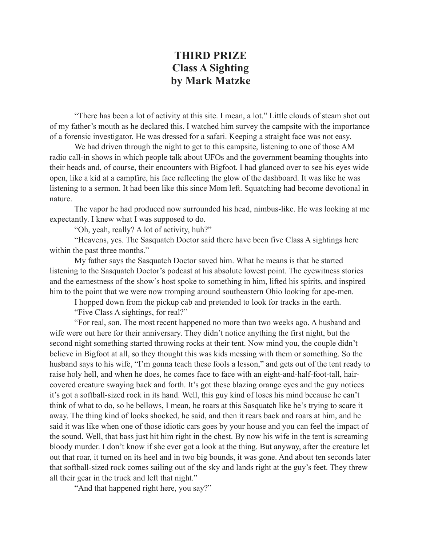## **THIRD PRIZE Class A Sighting by Mark Matzke**

"There has been a lot of activity at this site. I mean, a lot." Little clouds of steam shot out of my father's mouth as he declared this. I watched him survey the campsite with the importance of a forensic investigator. He was dressed for a safari. Keeping a straight face was not easy.

 We had driven through the night to get to this campsite, listening to one of those AM radio call-in shows in which people talk about UFOs and the government beaming thoughts into their heads and, of course, their encounters with Bigfoot. I had glanced over to see his eyes wide open, like a kid at a campfire, his face reflecting the glow of the dashboard. It was like he was listening to a sermon. It had been like this since Mom left. Squatching had become devotional in nature.

The vapor he had produced now surrounded his head, nimbus-like. He was looking at me expectantly. I knew what I was supposed to do.

"Oh, yeah, really? A lot of activity, huh?"

 "Heavens, yes. The Sasquatch Doctor said there have been five Class A sightings here within the past three months."

 My father says the Sasquatch Doctor saved him. What he means is that he started listening to the Sasquatch Doctor's podcast at his absolute lowest point. The eyewitness stories and the earnestness of the show's host spoke to something in him, lifted his spirits, and inspired him to the point that we were now tromping around southeastern Ohio looking for ape-men.

I hopped down from the pickup cab and pretended to look for tracks in the earth.

"Five Class A sightings, for real?"

 "For real, son. The most recent happened no more than two weeks ago. A husband and wife were out here for their anniversary. They didn't notice anything the first night, but the second night something started throwing rocks at their tent. Now mind you, the couple didn't believe in Bigfoot at all, so they thought this was kids messing with them or something. So the husband says to his wife, "I'm gonna teach these fools a lesson," and gets out of the tent ready to raise holy hell, and when he does, he comes face to face with an eight-and-half-foot-tall, haircovered creature swaying back and forth. It's got these blazing orange eyes and the guy notices it's got a softball-sized rock in its hand. Well, this guy kind of loses his mind because he can't think of what to do, so he bellows, I mean, he roars at this Sasquatch like he's trying to scare it away. The thing kind of looks shocked, he said, and then it rears back and roars at him, and he said it was like when one of those idiotic cars goes by your house and you can feel the impact of the sound. Well, that bass just hit him right in the chest. By now his wife in the tent is screaming bloody murder. I don't know if she ever got a look at the thing. But anyway, after the creature let out that roar, it turned on its heel and in two big bounds, it was gone. And about ten seconds later that softball-sized rock comes sailing out of the sky and lands right at the guy's feet. They threw all their gear in the truck and left that night."

"And that happened right here, you say?"